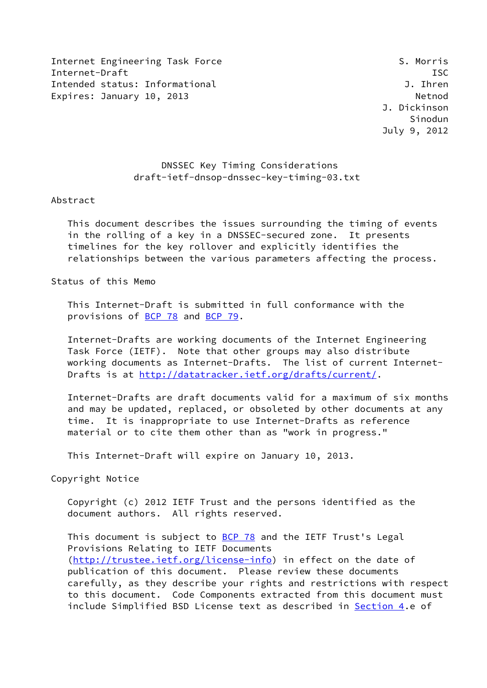Internet Engineering Task Force S. Morris Internet-Draft ISC Intended status: Informational J. Ihren Expires: January 10, 2013 Method

## DNSSEC Key Timing Considerations draft-ietf-dnsop-dnssec-key-timing-03.txt

#### Abstract

 This document describes the issues surrounding the timing of events in the rolling of a key in a DNSSEC-secured zone. It presents timelines for the key rollover and explicitly identifies the relationships between the various parameters affecting the process.

Status of this Memo

 This Internet-Draft is submitted in full conformance with the provisions of [BCP 78](https://datatracker.ietf.org/doc/pdf/bcp78) and [BCP 79](https://datatracker.ietf.org/doc/pdf/bcp79).

 Internet-Drafts are working documents of the Internet Engineering Task Force (IETF). Note that other groups may also distribute working documents as Internet-Drafts. The list of current Internet Drafts is at<http://datatracker.ietf.org/drafts/current/>.

 Internet-Drafts are draft documents valid for a maximum of six months and may be updated, replaced, or obsoleted by other documents at any time. It is inappropriate to use Internet-Drafts as reference material or to cite them other than as "work in progress."

This Internet-Draft will expire on January 10, 2013.

Copyright Notice

 Copyright (c) 2012 IETF Trust and the persons identified as the document authors. All rights reserved.

This document is subject to **[BCP 78](https://datatracker.ietf.org/doc/pdf/bcp78)** and the IETF Trust's Legal Provisions Relating to IETF Documents [\(http://trustee.ietf.org/license-info](http://trustee.ietf.org/license-info)) in effect on the date of publication of this document. Please review these documents carefully, as they describe your rights and restrictions with respect to this document. Code Components extracted from this document must include Simplified BSD License text as described in [Section 4.](#page-27-0)e of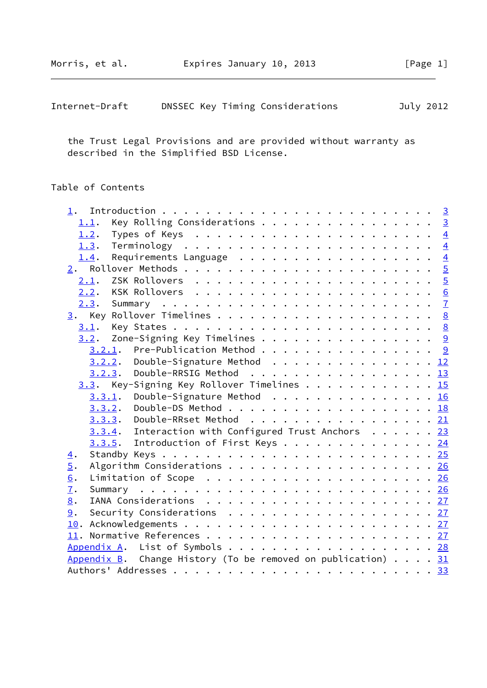| Internet-Draft |  |  | DNSSEC Key Timing Considerations | July 2012 |  |
|----------------|--|--|----------------------------------|-----------|--|
|----------------|--|--|----------------------------------|-----------|--|

 the Trust Legal Provisions and are provided without warranty as described in the Simplified BSD License.

# Table of Contents

| Key Rolling Considerations 3<br>1.1.                                                           |  |
|------------------------------------------------------------------------------------------------|--|
| Types of Keys $\ldots \ldots \ldots \ldots \ldots \ldots \ldots \ldots \frac{4}{2}$<br>1.2.    |  |
| 1.3.                                                                                           |  |
| Requirements Language $\ldots$ 4<br>1.4.                                                       |  |
|                                                                                                |  |
| 2.1.                                                                                           |  |
|                                                                                                |  |
|                                                                                                |  |
|                                                                                                |  |
| 3.1.                                                                                           |  |
| 3.2. Zone-Signing Key Timelines 9                                                              |  |
| $3.2.1$ . Pre-Publication Method 9                                                             |  |
| 3.2.2. Double-Signature Method 12                                                              |  |
| 3.2.3. Double-RRSIG Method 13                                                                  |  |
| $3.3$ . Key-Signing Key Rollover Timelines 15                                                  |  |
| Double-Signature Method 16<br>3.3.1.                                                           |  |
| Double-DS Method 18<br>3.3.2.                                                                  |  |
| <u>3.3.3</u> . Double-RRset Method <u>21</u>                                                   |  |
| 3.3.4. Interaction with Configured Trust Anchors 23                                            |  |
| 3.3.5. Introduction of First Keys 24                                                           |  |
| $\overline{4}$ .                                                                               |  |
| $\overline{5}$ .<br>Algorithm Considerations 26                                                |  |
| 6.                                                                                             |  |
| $\overline{1}$ .                                                                               |  |
| 8.                                                                                             |  |
| Security Considerations $\ldots \ldots \ldots \ldots \ldots \ldots \ldots \frac{27}{27}$<br>9. |  |
|                                                                                                |  |
|                                                                                                |  |
| Appendix A. List of Symbols 28                                                                 |  |
| Appendix B. Change History (To be removed on publication) $\ldots$ 31                          |  |
|                                                                                                |  |
|                                                                                                |  |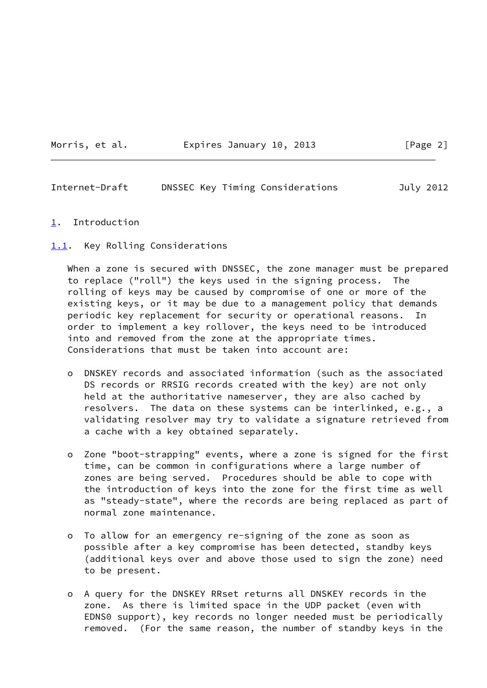#### Morris, et al. Expires January 10, 2013 [Page 2]

<span id="page-2-1"></span>Internet-Draft DNSSEC Key Timing Considerations July 2012

- <span id="page-2-0"></span>[1](#page-2-0). Introduction
- <span id="page-2-2"></span>[1.1](#page-2-2). Key Rolling Considerations

 When a zone is secured with DNSSEC, the zone manager must be prepared to replace ("roll") the keys used in the signing process. The rolling of keys may be caused by compromise of one or more of the existing keys, or it may be due to a management policy that demands periodic key replacement for security or operational reasons. In order to implement a key rollover, the keys need to be introduced into and removed from the zone at the appropriate times. Considerations that must be taken into account are:

- o DNSKEY records and associated information (such as the associated DS records or RRSIG records created with the key) are not only held at the authoritative nameserver, they are also cached by resolvers. The data on these systems can be interlinked, e.g., a validating resolver may try to validate a signature retrieved from a cache with a key obtained separately.
- o Zone "boot-strapping" events, where a zone is signed for the first time, can be common in configurations where a large number of zones are being served. Procedures should be able to cope with the introduction of keys into the zone for the first time as well as "steady-state", where the records are being replaced as part of normal zone maintenance.
- o To allow for an emergency re-signing of the zone as soon as possible after a key compromise has been detected, standby keys (additional keys over and above those used to sign the zone) need to be present.
- o A query for the DNSKEY RRset returns all DNSKEY records in the zone. As there is limited space in the UDP packet (even with EDNS0 support), key records no longer needed must be periodically removed. (For the same reason, the number of standby keys in the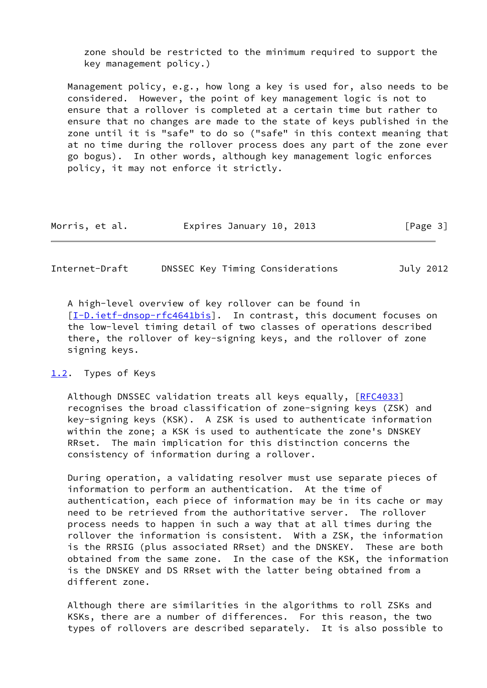zone should be restricted to the minimum required to support the key management policy.)

 Management policy, e.g., how long a key is used for, also needs to be considered. However, the point of key management logic is not to ensure that a rollover is completed at a certain time but rather to ensure that no changes are made to the state of keys published in the zone until it is "safe" to do so ("safe" in this context meaning that at no time during the rollover process does any part of the zone ever go bogus). In other words, although key management logic enforces policy, it may not enforce it strictly.

| Morris, et al. |  | Expires January 10, 2013 |  |  |  | [Page 3] |  |
|----------------|--|--------------------------|--|--|--|----------|--|
|----------------|--|--------------------------|--|--|--|----------|--|

<span id="page-3-1"></span>Internet-Draft DNSSEC Key Timing Considerations July 2012

 A high-level overview of key rollover can be found in [\[I-D.ietf-dnsop-rfc4641bis](#page-30-4)]. In contrast, this document focuses on the low-level timing detail of two classes of operations described there, the rollover of key-signing keys, and the rollover of zone signing keys.

#### <span id="page-3-0"></span>[1.2](#page-3-0). Types of Keys

Although DNSSEC validation treats all keys equally, [\[RFC4033](https://datatracker.ietf.org/doc/pdf/rfc4033)] recognises the broad classification of zone-signing keys (ZSK) and key-signing keys (KSK). A ZSK is used to authenticate information within the zone; a KSK is used to authenticate the zone's DNSKEY RRset. The main implication for this distinction concerns the consistency of information during a rollover.

 During operation, a validating resolver must use separate pieces of information to perform an authentication. At the time of authentication, each piece of information may be in its cache or may need to be retrieved from the authoritative server. The rollover process needs to happen in such a way that at all times during the rollover the information is consistent. With a ZSK, the information is the RRSIG (plus associated RRset) and the DNSKEY. These are both obtained from the same zone. In the case of the KSK, the information is the DNSKEY and DS RRset with the latter being obtained from a different zone.

 Although there are similarities in the algorithms to roll ZSKs and KSKs, there are a number of differences. For this reason, the two types of rollovers are described separately. It is also possible to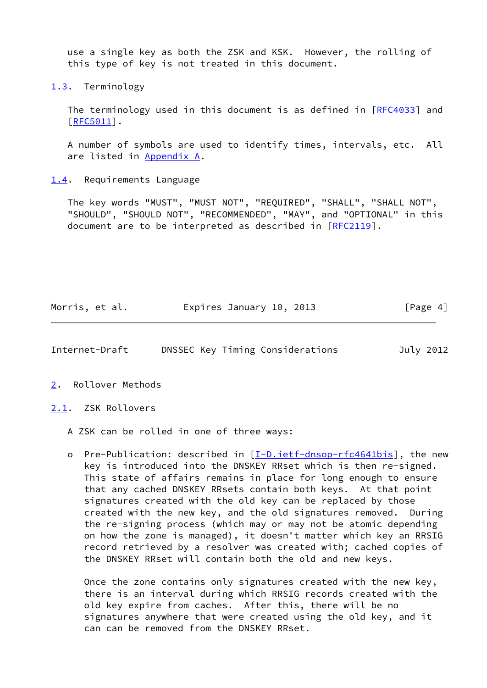use a single key as both the ZSK and KSK. However, the rolling of this type of key is not treated in this document.

<span id="page-4-0"></span>[1.3](#page-4-0). Terminology

The terminology used in this document is as defined in [\[RFC4033](https://datatracker.ietf.org/doc/pdf/rfc4033)] and [\[RFC5011](https://datatracker.ietf.org/doc/pdf/rfc5011)].

 A number of symbols are used to identify times, intervals, etc. All are listed in [Appendix A.](#page-31-0)

<span id="page-4-1"></span>[1.4](#page-4-1). Requirements Language

 The key words "MUST", "MUST NOT", "REQUIRED", "SHALL", "SHALL NOT", "SHOULD", "SHOULD NOT", "RECOMMENDED", "MAY", and "OPTIONAL" in this document are to be interpreted as described in [\[RFC2119](https://datatracker.ietf.org/doc/pdf/rfc2119)].

Morris, et al. **Expires January 10, 2013** [Page 4]

<span id="page-4-3"></span>Internet-Draft DNSSEC Key Timing Considerations July 2012

<span id="page-4-2"></span>[2](#page-4-2). Rollover Methods

<span id="page-4-4"></span>[2.1](#page-4-4). ZSK Rollovers

A ZSK can be rolled in one of three ways:

o Pre-Publication: described in [\[I-D.ietf-dnsop-rfc4641bis\]](#page-30-4), the new key is introduced into the DNSKEY RRset which is then re-signed. This state of affairs remains in place for long enough to ensure that any cached DNSKEY RRsets contain both keys. At that point signatures created with the old key can be replaced by those created with the new key, and the old signatures removed. During the re-signing process (which may or may not be atomic depending on how the zone is managed), it doesn't matter which key an RRSIG record retrieved by a resolver was created with; cached copies of the DNSKEY RRset will contain both the old and new keys.

 Once the zone contains only signatures created with the new key, there is an interval during which RRSIG records created with the old key expire from caches. After this, there will be no signatures anywhere that were created using the old key, and it can can be removed from the DNSKEY RRset.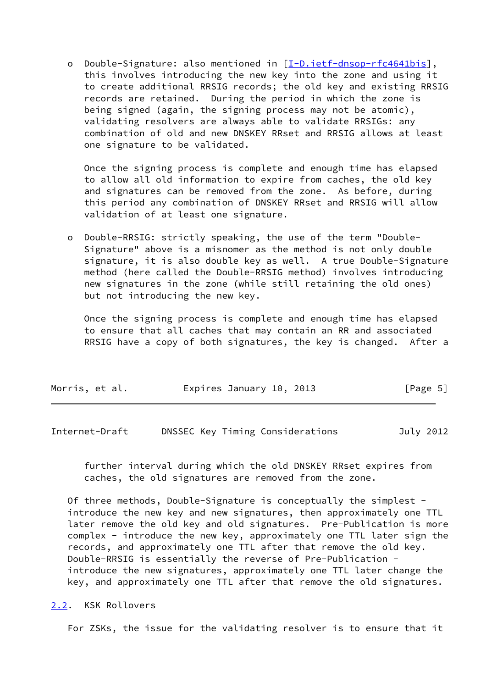o Double-Signature: also mentioned in [\[I-D.ietf-dnsop-rfc4641bis](#page-30-4)], this involves introducing the new key into the zone and using it to create additional RRSIG records; the old key and existing RRSIG records are retained. During the period in which the zone is being signed (again, the signing process may not be atomic), validating resolvers are always able to validate RRSIGs: any combination of old and new DNSKEY RRset and RRSIG allows at least one signature to be validated.

 Once the signing process is complete and enough time has elapsed to allow all old information to expire from caches, the old key and signatures can be removed from the zone. As before, during this period any combination of DNSKEY RRset and RRSIG will allow validation of at least one signature.

 o Double-RRSIG: strictly speaking, the use of the term "Double- Signature" above is a misnomer as the method is not only double signature, it is also double key as well. A true Double-Signature method (here called the Double-RRSIG method) involves introducing new signatures in the zone (while still retaining the old ones) but not introducing the new key.

 Once the signing process is complete and enough time has elapsed to ensure that all caches that may contain an RR and associated RRSIG have a copy of both signatures, the key is changed. After a

| Morris, et al. | Expires January 10, 2013 | [Page 5] |
|----------------|--------------------------|----------|
|----------------|--------------------------|----------|

<span id="page-5-1"></span>Internet-Draft DNSSEC Key Timing Considerations July 2012

 further interval during which the old DNSKEY RRset expires from caches, the old signatures are removed from the zone.

 Of three methods, Double-Signature is conceptually the simplest introduce the new key and new signatures, then approximately one TTL later remove the old key and old signatures. Pre-Publication is more complex - introduce the new key, approximately one TTL later sign the records, and approximately one TTL after that remove the old key. Double-RRSIG is essentially the reverse of Pre-Publication introduce the new signatures, approximately one TTL later change the key, and approximately one TTL after that remove the old signatures.

<span id="page-5-0"></span>[2.2](#page-5-0). KSK Rollovers

For ZSKs, the issue for the validating resolver is to ensure that it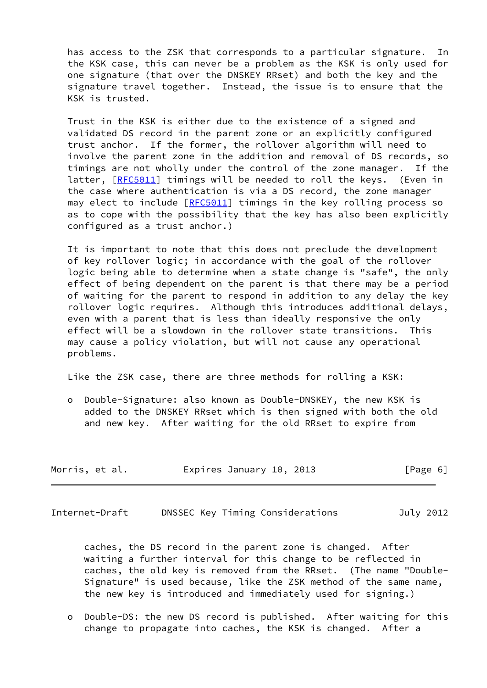has access to the ZSK that corresponds to a particular signature. In the KSK case, this can never be a problem as the KSK is only used for one signature (that over the DNSKEY RRset) and both the key and the signature travel together. Instead, the issue is to ensure that the KSK is trusted.

 Trust in the KSK is either due to the existence of a signed and validated DS record in the parent zone or an explicitly configured trust anchor. If the former, the rollover algorithm will need to involve the parent zone in the addition and removal of DS records, so timings are not wholly under the control of the zone manager. If the latter, [\[RFC5011](https://datatracker.ietf.org/doc/pdf/rfc5011)] timings will be needed to roll the keys. (Even in the case where authentication is via a DS record, the zone manager may elect to include [\[RFC5011](https://datatracker.ietf.org/doc/pdf/rfc5011)] timings in the key rolling process so as to cope with the possibility that the key has also been explicitly configured as a trust anchor.)

 It is important to note that this does not preclude the development of key rollover logic; in accordance with the goal of the rollover logic being able to determine when a state change is "safe", the only effect of being dependent on the parent is that there may be a period of waiting for the parent to respond in addition to any delay the key rollover logic requires. Although this introduces additional delays, even with a parent that is less than ideally responsive the only effect will be a slowdown in the rollover state transitions. This may cause a policy violation, but will not cause any operational problems.

Like the ZSK case, there are three methods for rolling a KSK:

 o Double-Signature: also known as Double-DNSKEY, the new KSK is added to the DNSKEY RRset which is then signed with both the old and new key. After waiting for the old RRset to expire from

| Expires January 10, 2013<br>Morris, et al. | [Page 6] |  |
|--------------------------------------------|----------|--|
|--------------------------------------------|----------|--|

<span id="page-6-0"></span>Internet-Draft DNSSEC Key Timing Considerations July 2012

 caches, the DS record in the parent zone is changed. After waiting a further interval for this change to be reflected in caches, the old key is removed from the RRset. (The name "Double- Signature" is used because, like the ZSK method of the same name, the new key is introduced and immediately used for signing.)

 o Double-DS: the new DS record is published. After waiting for this change to propagate into caches, the KSK is changed. After a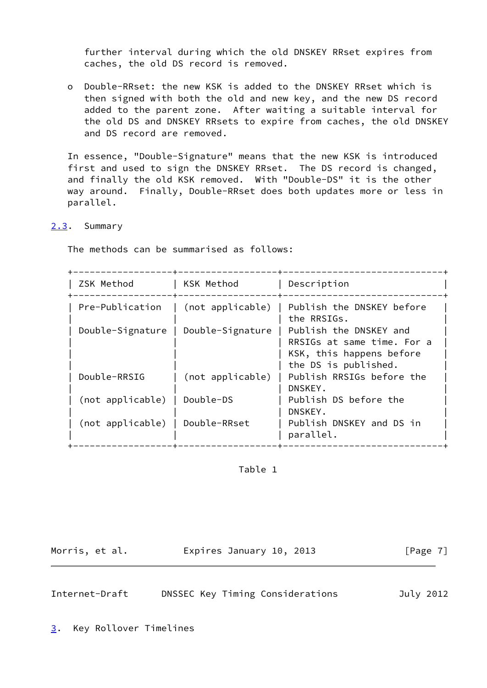further interval during which the old DNSKEY RRset expires from caches, the old DS record is removed.

 o Double-RRset: the new KSK is added to the DNSKEY RRset which is then signed with both the old and new key, and the new DS record added to the parent zone. After waiting a suitable interval for the old DS and DNSKEY RRsets to expire from caches, the old DNSKEY and DS record are removed.

 In essence, "Double-Signature" means that the new KSK is introduced first and used to sign the DNSKEY RRset. The DS record is changed, and finally the old KSK removed. With "Double-DS" it is the other way around. Finally, Double-RRset does both updates more or less in parallel.

<span id="page-7-0"></span>[2.3](#page-7-0). Summary

The methods can be summarised as follows:

| <b>75K</b><br>MAT<br>∙n∩r. | KSK Method | UASCrintion |  |
|----------------------------|------------|-------------|--|

|                                 | $---+--$<br>--+---- |                                                                                                          |
|---------------------------------|---------------------|----------------------------------------------------------------------------------------------------------|
| Pre-Publication                 | (not applicable)    | Publish the DNSKEY before<br>the RRSIGs.                                                                 |
| Double-Signature                | Double-Signature    | Publish the DNSKEY and<br>RRSIGs at same time. For a<br>KSK, this happens before<br>the DS is published. |
| Double-RRSIG                    | (not applicable)    | Publish RRSIGs before the<br>DNSKEY.                                                                     |
| (not applicable)                | Double-DS           | Publish DS before the<br>DNSKEY.                                                                         |
| (not applicable)   Double-RRset |                     | Publish DNSKEY and DS in<br>parallel.                                                                    |

### Table 1

Morris, et al. **Expires January 10, 2013** [Page 7]

<span id="page-7-2"></span>Internet-Draft DNSSEC Key Timing Considerations July 2012

<span id="page-7-1"></span>[3](#page-7-1). Key Rollover Timelines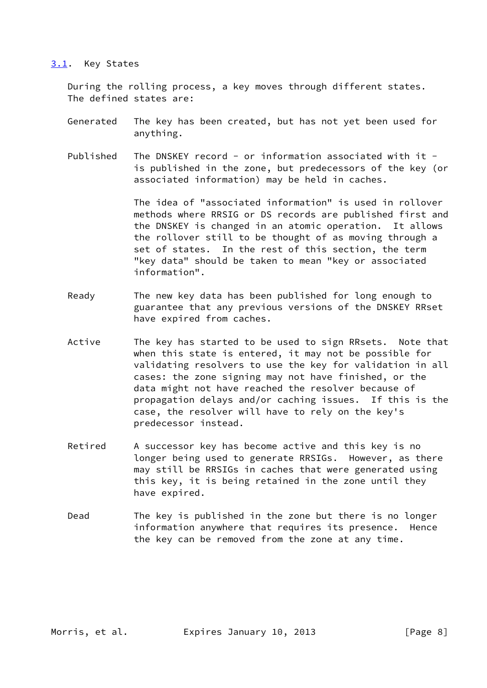#### <span id="page-8-0"></span>[3.1](#page-8-0). Key States

 During the rolling process, a key moves through different states. The defined states are:

- Generated The key has been created, but has not yet been used for anything.
- Published The DNSKEY record or information associated with it is published in the zone, but predecessors of the key (or associated information) may be held in caches.

 The idea of "associated information" is used in rollover methods where RRSIG or DS records are published first and the DNSKEY is changed in an atomic operation. It allows the rollover still to be thought of as moving through a set of states. In the rest of this section, the term "key data" should be taken to mean "key or associated information".

- Ready The new key data has been published for long enough to guarantee that any previous versions of the DNSKEY RRset have expired from caches.
- Active The key has started to be used to sign RRsets. Note that when this state is entered, it may not be possible for validating resolvers to use the key for validation in all cases: the zone signing may not have finished, or the data might not have reached the resolver because of propagation delays and/or caching issues. If this is the case, the resolver will have to rely on the key's predecessor instead.
- Retired A successor key has become active and this key is no longer being used to generate RRSIGs. However, as there may still be RRSIGs in caches that were generated using this key, it is being retained in the zone until they have expired.
- Dead The key is published in the zone but there is no longer information anywhere that requires its presence. Hence the key can be removed from the zone at any time.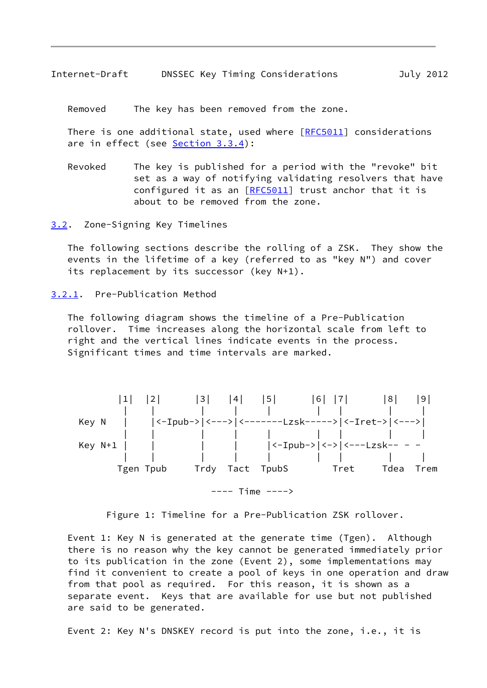<span id="page-9-1"></span>Removed The key has been removed from the zone.

 There is one additional state, used where [[RFC5011](https://datatracker.ietf.org/doc/pdf/rfc5011)] considerations are in effect (see [Section 3.3.4\)](#page-25-0):

 Revoked The key is published for a period with the "revoke" bit set as a way of notifying validating resolvers that have configured it as an [\[RFC5011](https://datatracker.ietf.org/doc/pdf/rfc5011)] trust anchor that it is about to be removed from the zone.

<span id="page-9-0"></span>[3.2](#page-9-0). Zone-Signing Key Timelines

 The following sections describe the rolling of a ZSK. They show the events in the lifetime of a key (referred to as "key N") and cover its replacement by its successor (key N+1).

<span id="page-9-2"></span>[3.2.1](#page-9-2). Pre-Publication Method

 The following diagram shows the timeline of a Pre-Publication rollover. Time increases along the horizontal scale from left to right and the vertical lines indicate events in the process. Significant times and time intervals are marked.



Figure 1: Timeline for a Pre-Publication ZSK rollover.

 Event 1: Key N is generated at the generate time (Tgen). Although there is no reason why the key cannot be generated immediately prior to its publication in the zone (Event 2), some implementations may find it convenient to create a pool of keys in one operation and draw from that pool as required. For this reason, it is shown as a separate event. Keys that are available for use but not published are said to be generated.

Event 2: Key N's DNSKEY record is put into the zone, i.e., it is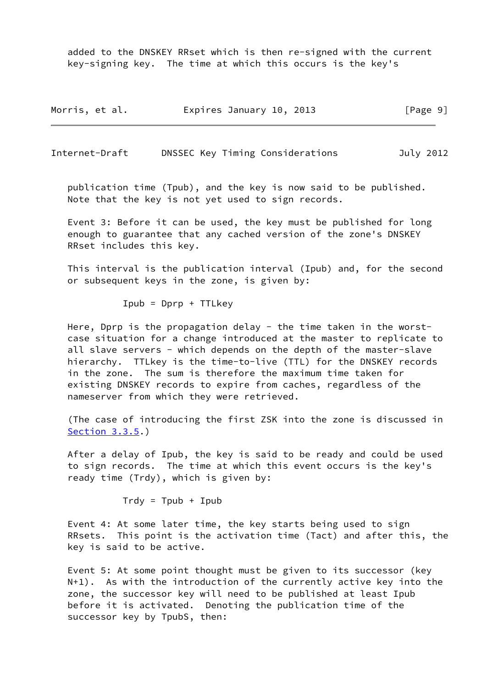added to the DNSKEY RRset which is then re-signed with the current key-signing key. The time at which this occurs is the key's

| Morris, et al. | Expires January 10, 2013 | [Page 9] |
|----------------|--------------------------|----------|
|----------------|--------------------------|----------|

Internet-Draft DNSSEC Key Timing Considerations July 2012

 publication time (Tpub), and the key is now said to be published. Note that the key is not yet used to sign records.

 Event 3: Before it can be used, the key must be published for long enough to guarantee that any cached version of the zone's DNSKEY RRset includes this key.

 This interval is the publication interval (Ipub) and, for the second or subsequent keys in the zone, is given by:

 $Ipub = Dprp + TTLkey$ 

Here, Dprp is the propagation delay - the time taken in the worst case situation for a change introduced at the master to replicate to all slave servers - which depends on the depth of the master-slave hierarchy. TTLkey is the time-to-live (TTL) for the DNSKEY records in the zone. The sum is therefore the maximum time taken for existing DNSKEY records to expire from caches, regardless of the nameserver from which they were retrieved.

 (The case of introducing the first ZSK into the zone is discussed in [Section 3.3.5](#page-26-0).)

 After a delay of Ipub, the key is said to be ready and could be used to sign records. The time at which this event occurs is the key's ready time (Trdy), which is given by:

 $Trdy = Tpub + Ipub$ 

 Event 4: At some later time, the key starts being used to sign RRsets. This point is the activation time (Tact) and after this, the key is said to be active.

 Event 5: At some point thought must be given to its successor (key N+1). As with the introduction of the currently active key into the zone, the successor key will need to be published at least Ipub before it is activated. Denoting the publication time of the successor key by TpubS, then: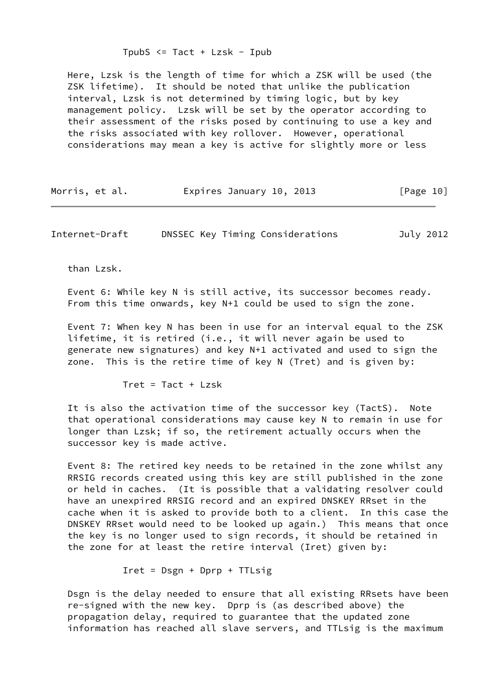Here, Lzsk is the length of time for which a ZSK will be used (the ZSK lifetime). It should be noted that unlike the publication interval, Lzsk is not determined by timing logic, but by key management policy. Lzsk will be set by the operator according to their assessment of the risks posed by continuing to use a key and the risks associated with key rollover. However, operational considerations may mean a key is active for slightly more or less

| Morris, et al. | Expires January 10, 2013 | [Page 10] |  |
|----------------|--------------------------|-----------|--|
|----------------|--------------------------|-----------|--|

Internet-Draft DNSSEC Key Timing Considerations July 2012

than Lzsk.

 Event 6: While key N is still active, its successor becomes ready. From this time onwards, key N+1 could be used to sign the zone.

 Event 7: When key N has been in use for an interval equal to the ZSK lifetime, it is retired (i.e., it will never again be used to generate new signatures) and key N+1 activated and used to sign the zone. This is the retire time of key N (Tret) and is given by:

 $Tret = Tact + Lzsk$ 

 It is also the activation time of the successor key (TactS). Note that operational considerations may cause key N to remain in use for longer than Lzsk; if so, the retirement actually occurs when the successor key is made active.

 Event 8: The retired key needs to be retained in the zone whilst any RRSIG records created using this key are still published in the zone or held in caches. (It is possible that a validating resolver could have an unexpired RRSIG record and an expired DNSKEY RRset in the cache when it is asked to provide both to a client. In this case the DNSKEY RRset would need to be looked up again.) This means that once the key is no longer used to sign records, it should be retained in the zone for at least the retire interval (Iret) given by:

Iret = Dsgn + Dprp + TTLsig

 Dsgn is the delay needed to ensure that all existing RRsets have been re-signed with the new key. Dprp is (as described above) the propagation delay, required to guarantee that the updated zone information has reached all slave servers, and TTLsig is the maximum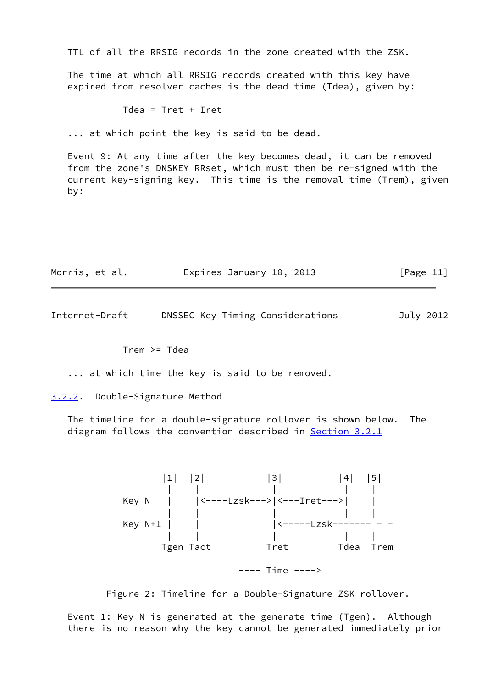TTL of all the RRSIG records in the zone created with the ZSK.

 The time at which all RRSIG records created with this key have expired from resolver caches is the dead time (Tdea), given by:

Tdea = Tret + Iret

... at which point the key is said to be dead.

 Event 9: At any time after the key becomes dead, it can be removed from the zone's DNSKEY RRset, which must then be re-signed with the current key-signing key. This time is the removal time (Trem), given by:

| Morris, et al. | Expires January 10, 2013 |  | [Page 11] |
|----------------|--------------------------|--|-----------|
|----------------|--------------------------|--|-----------|

<span id="page-12-1"></span>Internet-Draft DNSSEC Key Timing Considerations July 2012

Trem >= Tdea

... at which time the key is said to be removed.

<span id="page-12-0"></span>[3.2.2](#page-12-0). Double-Signature Method

 The timeline for a double-signature rollover is shown below. The diagram follows the convention described in [Section 3.2.1](#page-9-2)



Figure 2: Timeline for a Double-Signature ZSK rollover.

 Event 1: Key N is generated at the generate time (Tgen). Although there is no reason why the key cannot be generated immediately prior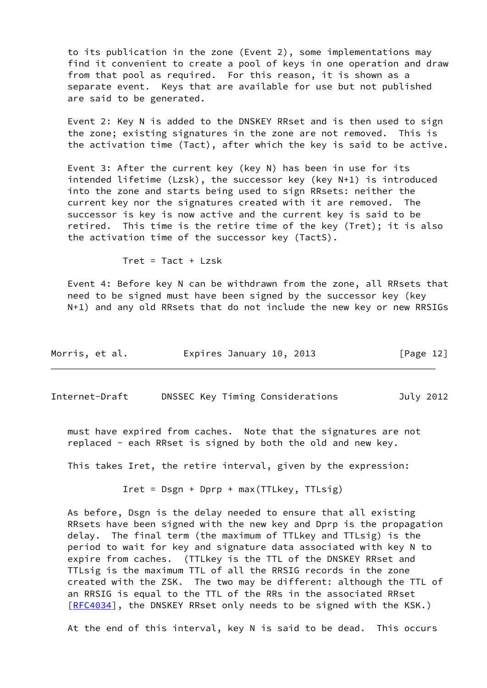to its publication in the zone (Event 2), some implementations may find it convenient to create a pool of keys in one operation and draw from that pool as required. For this reason, it is shown as a separate event. Keys that are available for use but not published are said to be generated.

 Event 2: Key N is added to the DNSKEY RRset and is then used to sign the zone; existing signatures in the zone are not removed. This is the activation time (Tact), after which the key is said to be active.

 Event 3: After the current key (key N) has been in use for its intended lifetime (Lzsk), the successor key (key N+1) is introduced into the zone and starts being used to sign RRsets: neither the current key nor the signatures created with it are removed. The successor is key is now active and the current key is said to be retired. This time is the retire time of the key (Tret); it is also the activation time of the successor key (TactS).

 $Tret = Tact + Lzsk$ 

 Event 4: Before key N can be withdrawn from the zone, all RRsets that need to be signed must have been signed by the successor key (key N+1) and any old RRsets that do not include the new key or new RRSIGs

| Morris, et al. | Expires January 10, 2013 | [Page 12] |
|----------------|--------------------------|-----------|
|----------------|--------------------------|-----------|

<span id="page-13-0"></span>Internet-Draft DNSSEC Key Timing Considerations July 2012

 must have expired from caches. Note that the signatures are not replaced - each RRset is signed by both the old and new key.

This takes Iret, the retire interval, given by the expression:

Iret = Dsgn + Dprp + max(TTLkey, TTLsig)

 As before, Dsgn is the delay needed to ensure that all existing RRsets have been signed with the new key and Dprp is the propagation delay. The final term (the maximum of TTLkey and TTLsig) is the period to wait for key and signature data associated with key N to expire from caches. (TTLkey is the TTL of the DNSKEY RRset and TTLsig is the maximum TTL of all the RRSIG records in the zone created with the ZSK. The two may be different: although the TTL of an RRSIG is equal to the TTL of the RRs in the associated RRset [\[RFC4034](https://datatracker.ietf.org/doc/pdf/rfc4034)], the DNSKEY RRset only needs to be signed with the KSK.)

At the end of this interval, key N is said to be dead. This occurs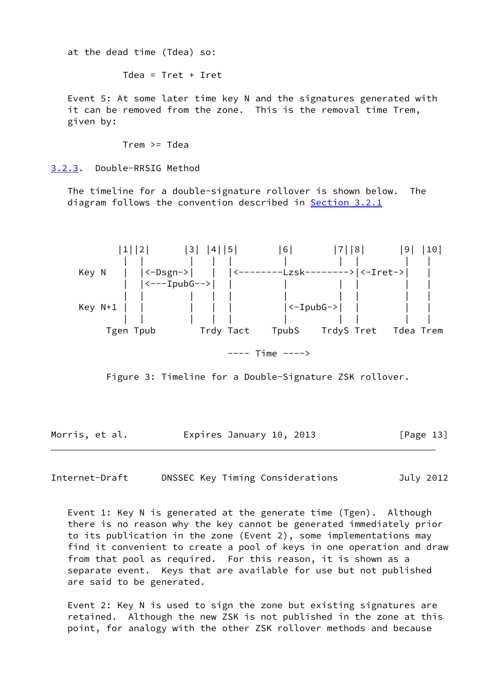at the dead time (Tdea) so:

Tdea = Tret + Iret

 Event 5: At some later time key N and the signatures generated with it can be removed from the zone. This is the removal time Trem, given by:

Trem >= Tdea

<span id="page-14-0"></span>[3.2.3](#page-14-0). Double-RRSIG Method

 The timeline for a double-signature rollover is shown below. The diagram follows the convention described in **[Section 3.2.1](#page-9-2)** 



Figure 3: Timeline for a Double-Signature ZSK rollover.

Morris, et al. **Expires January 10, 2013** [Page 13]

Internet-Draft DNSSEC Key Timing Considerations July 2012

 Event 1: Key N is generated at the generate time (Tgen). Although there is no reason why the key cannot be generated immediately prior to its publication in the zone (Event 2), some implementations may find it convenient to create a pool of keys in one operation and draw from that pool as required. For this reason, it is shown as a separate event. Keys that are available for use but not published are said to be generated.

 Event 2: Key N is used to sign the zone but existing signatures are retained. Although the new ZSK is not published in the zone at this point, for analogy with the other ZSK rollover methods and because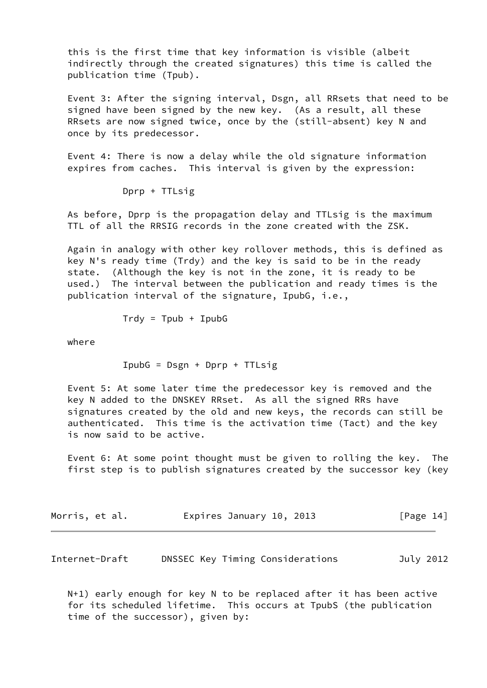this is the first time that key information is visible (albeit indirectly through the created signatures) this time is called the publication time (Tpub).

 Event 3: After the signing interval, Dsgn, all RRsets that need to be signed have been signed by the new key. (As a result, all these RRsets are now signed twice, once by the (still-absent) key N and once by its predecessor.

 Event 4: There is now a delay while the old signature information expires from caches. This interval is given by the expression:

Dprp + TTLsig

 As before, Dprp is the propagation delay and TTLsig is the maximum TTL of all the RRSIG records in the zone created with the ZSK.

 Again in analogy with other key rollover methods, this is defined as key N's ready time (Trdy) and the key is said to be in the ready state. (Although the key is not in the zone, it is ready to be used.) The interval between the publication and ready times is the publication interval of the signature, IpubG, i.e.,

 $Trdy = Tpub + IpubG$ 

where

IpubG = Dsgn + Dprp + TTLsig

 Event 5: At some later time the predecessor key is removed and the key N added to the DNSKEY RRset. As all the signed RRs have signatures created by the old and new keys, the records can still be authenticated. This time is the activation time (Tact) and the key is now said to be active.

 Event 6: At some point thought must be given to rolling the key. The first step is to publish signatures created by the successor key (key

| Morris, et al. | Expires January 10, 2013 | [Page 14] |
|----------------|--------------------------|-----------|
|----------------|--------------------------|-----------|

<span id="page-15-0"></span>Internet-Draft DNSSEC Key Timing Considerations July 2012

 N+1) early enough for key N to be replaced after it has been active for its scheduled lifetime. This occurs at TpubS (the publication time of the successor), given by: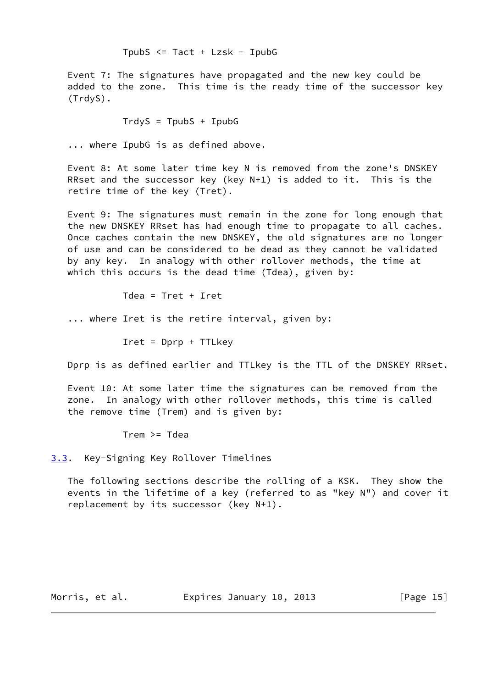TpubS <= Tact + Lzsk - IpubG

 Event 7: The signatures have propagated and the new key could be added to the zone. This time is the ready time of the successor key (TrdyS).

 $TrdyS = TpubS + IpubG$ 

... where IpubG is as defined above.

 Event 8: At some later time key N is removed from the zone's DNSKEY RRset and the successor key (key N+1) is added to it. This is the retire time of the key (Tret).

 Event 9: The signatures must remain in the zone for long enough that the new DNSKEY RRset has had enough time to propagate to all caches. Once caches contain the new DNSKEY, the old signatures are no longer of use and can be considered to be dead as they cannot be validated by any key. In analogy with other rollover methods, the time at which this occurs is the dead time (Tdea), given by:

Tdea = Tret + Iret

... where Iret is the retire interval, given by:

Iret = Dprp + TTLkey

Dprp is as defined earlier and TTLkey is the TTL of the DNSKEY RRset.

 Event 10: At some later time the signatures can be removed from the zone. In analogy with other rollover methods, this time is called the remove time (Trem) and is given by:

Trem >= Tdea

<span id="page-16-0"></span>[3.3](#page-16-0). Key-Signing Key Rollover Timelines

 The following sections describe the rolling of a KSK. They show the events in the lifetime of a key (referred to as "key N") and cover it replacement by its successor (key N+1).

Morris, et al. **Expires January 10, 2013** [Page 15]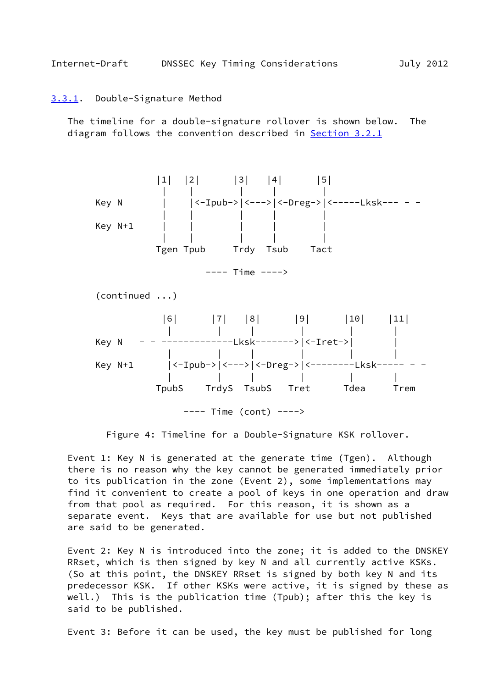#### <span id="page-17-1"></span><span id="page-17-0"></span>[3.3.1](#page-17-0). Double-Signature Method

 The timeline for a double-signature rollover is shown below. The diagram follows the convention described in [Section 3.2.1](#page-9-2)



Figure 4: Timeline for a Double-Signature KSK rollover.

 Event 1: Key N is generated at the generate time (Tgen). Although there is no reason why the key cannot be generated immediately prior to its publication in the zone (Event 2), some implementations may find it convenient to create a pool of keys in one operation and draw from that pool as required. For this reason, it is shown as a separate event. Keys that are available for use but not published are said to be generated.

 Event 2: Key N is introduced into the zone; it is added to the DNSKEY RRset, which is then signed by key N and all currently active KSKs. (So at this point, the DNSKEY RRset is signed by both key N and its predecessor KSK. If other KSKs were active, it is signed by these as well.) This is the publication time (Tpub); after this the key is said to be published.

Event 3: Before it can be used, the key must be published for long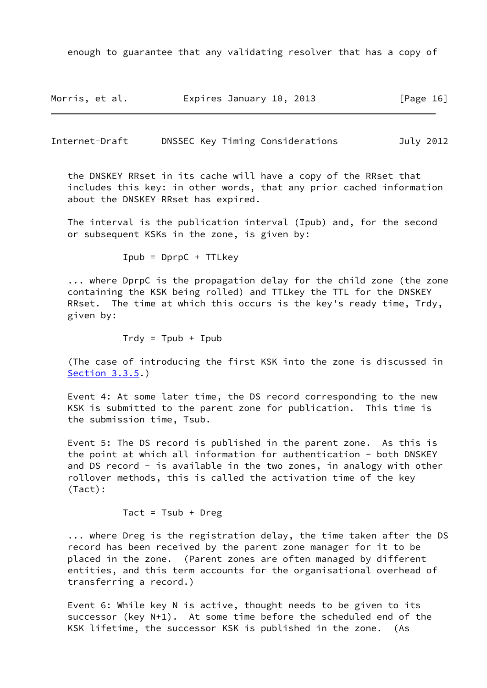enough to guarantee that any validating resolver that has a copy of

| Morris, et al. | Expires January 10, 2013 | [Page 16] |
|----------------|--------------------------|-----------|
|----------------|--------------------------|-----------|

Internet-Draft DNSSEC Key Timing Considerations July 2012

 the DNSKEY RRset in its cache will have a copy of the RRset that includes this key: in other words, that any prior cached information about the DNSKEY RRset has expired.

 The interval is the publication interval (Ipub) and, for the second or subsequent KSKs in the zone, is given by:

\n
$$
\text{Ipub} = \text{DprpC} + \text{TLkey}
$$
\n

 ... where DprpC is the propagation delay for the child zone (the zone containing the KSK being rolled) and TTLkey the TTL for the DNSKEY RRset. The time at which this occurs is the key's ready time, Trdy, given by:

$$
Trdy = Tpub + Ipub
$$

 (The case of introducing the first KSK into the zone is discussed in [Section 3.3.5](#page-26-0).)

 Event 4: At some later time, the DS record corresponding to the new KSK is submitted to the parent zone for publication. This time is the submission time, Tsub.

 Event 5: The DS record is published in the parent zone. As this is the point at which all information for authentication - both DNSKEY and DS record - is available in the two zones, in analogy with other rollover methods, this is called the activation time of the key (Tact):

Tact =  $Tsub + Dreg$ 

 ... where Dreg is the registration delay, the time taken after the DS record has been received by the parent zone manager for it to be placed in the zone. (Parent zones are often managed by different entities, and this term accounts for the organisational overhead of transferring a record.)

 Event 6: While key N is active, thought needs to be given to its successor (key N+1). At some time before the scheduled end of the KSK lifetime, the successor KSK is published in the zone. (As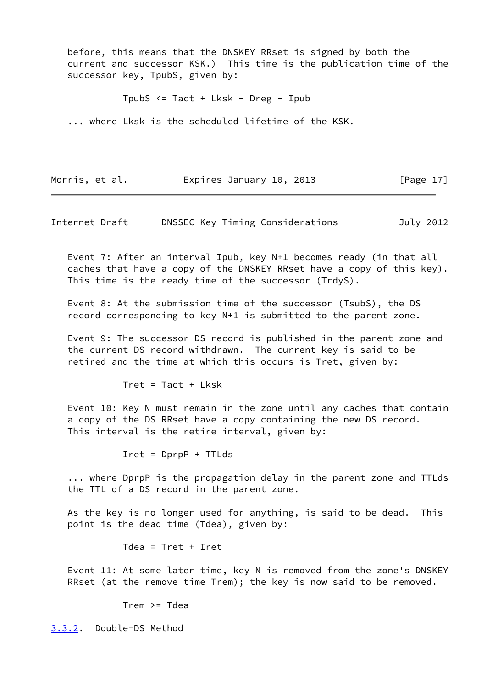before, this means that the DNSKEY RRset is signed by both the current and successor KSK.) This time is the publication time of the successor key, TpubS, given by:

TpubS <= Tact + Lksk - Dreg - Ipub

... where Lksk is the scheduled lifetime of the KSK.

Morris, et al. **Expires January 10, 2013** [Page 17]

<span id="page-19-1"></span>Internet-Draft DNSSEC Key Timing Considerations July 2012

 Event 7: After an interval Ipub, key N+1 becomes ready (in that all caches that have a copy of the DNSKEY RRset have a copy of this key). This time is the ready time of the successor (TrdyS).

 Event 8: At the submission time of the successor (TsubS), the DS record corresponding to key N+1 is submitted to the parent zone.

 Event 9: The successor DS record is published in the parent zone and the current DS record withdrawn. The current key is said to be retired and the time at which this occurs is Tret, given by:

 $Tret = Tact + Lksk$ 

 Event 10: Key N must remain in the zone until any caches that contain a copy of the DS RRset have a copy containing the new DS record. This interval is the retire interval, given by:

Iret = DprpP + TTLds

 ... where DprpP is the propagation delay in the parent zone and TTLds the TTL of a DS record in the parent zone.

 As the key is no longer used for anything, is said to be dead. This point is the dead time (Tdea), given by:

Tdea = Tret + Iret

 Event 11: At some later time, key N is removed from the zone's DNSKEY RRset (at the remove time Trem); the key is now said to be removed.

Trem >= Tdea

<span id="page-19-0"></span>[3.3.2](#page-19-0). Double-DS Method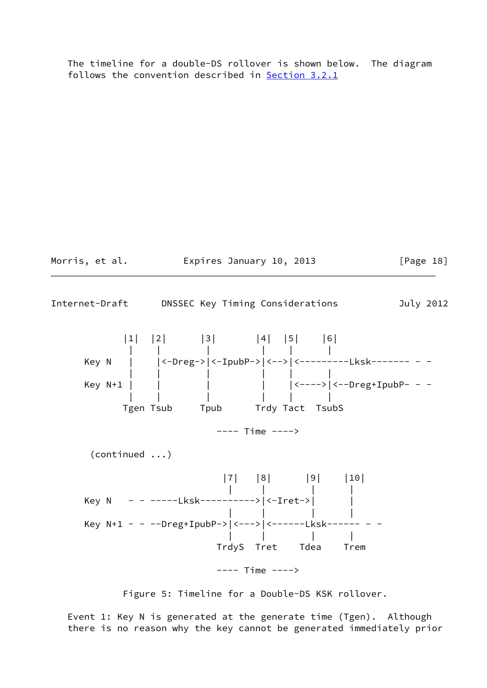The timeline for a double-DS rollover is shown below. The diagram follows the convention described in [Section 3.2.1](#page-9-2)



Figure 5: Timeline for a Double-DS KSK rollover.

 Event 1: Key N is generated at the generate time (Tgen). Although there is no reason why the key cannot be generated immediately prior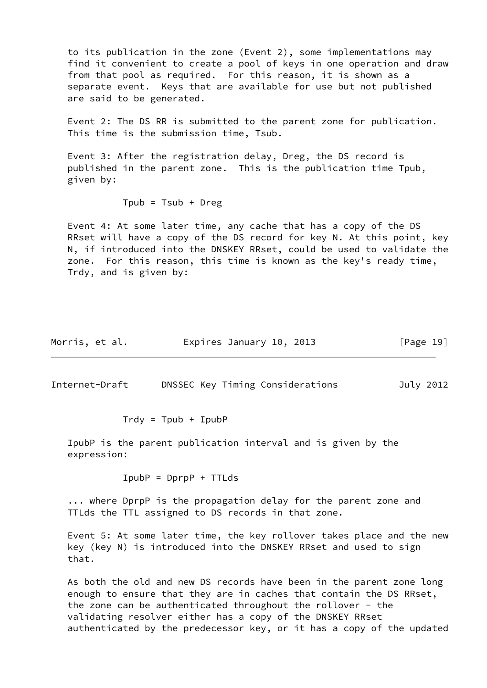to its publication in the zone (Event 2), some implementations may find it convenient to create a pool of keys in one operation and draw from that pool as required. For this reason, it is shown as a separate event. Keys that are available for use but not published are said to be generated.

 Event 2: The DS RR is submitted to the parent zone for publication. This time is the submission time, Tsub.

 Event 3: After the registration delay, Dreg, the DS record is published in the parent zone. This is the publication time Tpub, given by:

 $Tpub = Tsub + Dreg$ 

 Event 4: At some later time, any cache that has a copy of the DS RRset will have a copy of the DS record for key N. At this point, key N, if introduced into the DNSKEY RRset, could be used to validate the zone. For this reason, this time is known as the key's ready time, Trdy, and is given by:

| Morris, et al. | Expires January 10, 2013 | [Page 19] |
|----------------|--------------------------|-----------|
|----------------|--------------------------|-----------|

Internet-Draft DNSSEC Key Timing Considerations July 2012

 $Trdv = Tpub + IpubP$ 

 IpubP is the parent publication interval and is given by the expression:

IpubP = DprpP + TTLds

 ... where DprpP is the propagation delay for the parent zone and TTLds the TTL assigned to DS records in that zone.

 Event 5: At some later time, the key rollover takes place and the new key (key N) is introduced into the DNSKEY RRset and used to sign that.

 As both the old and new DS records have been in the parent zone long enough to ensure that they are in caches that contain the DS RRset, the zone can be authenticated throughout the rollover - the validating resolver either has a copy of the DNSKEY RRset authenticated by the predecessor key, or it has a copy of the updated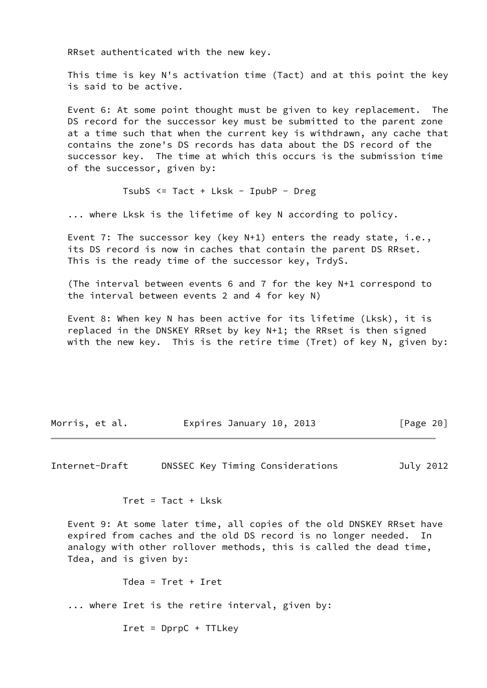RRset authenticated with the new key.

 This time is key N's activation time (Tact) and at this point the key is said to be active.

 Event 6: At some point thought must be given to key replacement. The DS record for the successor key must be submitted to the parent zone at a time such that when the current key is withdrawn, any cache that contains the zone's DS records has data about the DS record of the successor key. The time at which this occurs is the submission time of the successor, given by:

TsubS <= Tact + Lksk - IpubP - Dreg

... where Lksk is the lifetime of key N according to policy.

 Event 7: The successor key (key N+1) enters the ready state, i.e., its DS record is now in caches that contain the parent DS RRset. This is the ready time of the successor key, TrdyS.

 (The interval between events 6 and 7 for the key N+1 correspond to the interval between events 2 and 4 for key N)

 Event 8: When key N has been active for its lifetime (Lksk), it is replaced in the DNSKEY RRset by key N+1; the RRset is then signed with the new key. This is the retire time (Tret) of key N, given by:

| Expires January 10, 2013<br>Morris, et al. | [Page 20] |
|--------------------------------------------|-----------|
|--------------------------------------------|-----------|

<span id="page-22-0"></span>Internet-Draft DNSSEC Key Timing Considerations July 2012

Tret = Tact + Lksk

 Event 9: At some later time, all copies of the old DNSKEY RRset have expired from caches and the old DS record is no longer needed. In analogy with other rollover methods, this is called the dead time, Tdea, and is given by:

Tdea = Tret + Iret

... where Iret is the retire interval, given by:

Iret = DprpC + TTLkey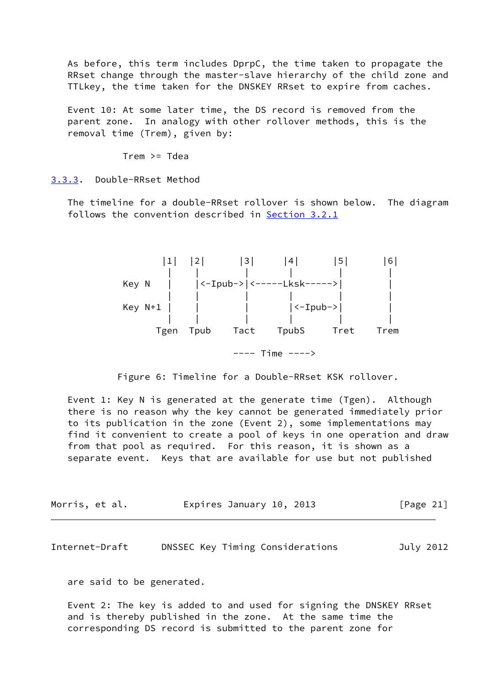As before, this term includes DprpC, the time taken to propagate the RRset change through the master-slave hierarchy of the child zone and TTLkey, the time taken for the DNSKEY RRset to expire from caches.

 Event 10: At some later time, the DS record is removed from the parent zone. In analogy with other rollover methods, this is the removal time (Trem), given by:

Trem >= Tdea

<span id="page-23-0"></span>[3.3.3](#page-23-0). Double-RRset Method

 The timeline for a double-RRset rollover is shown below. The diagram follows the convention described in [Section 3.2.1](#page-9-2)



Figure 6: Timeline for a Double-RRset KSK rollover.

 Event 1: Key N is generated at the generate time (Tgen). Although there is no reason why the key cannot be generated immediately prior to its publication in the zone (Event 2), some implementations may find it convenient to create a pool of keys in one operation and draw from that pool as required. For this reason, it is shown as a separate event. Keys that are available for use but not published

| Morris, et al. |  | Expires January 10, 2013 |  | [Page 21] |
|----------------|--|--------------------------|--|-----------|
|----------------|--|--------------------------|--|-----------|

Internet-Draft DNSSEC Key Timing Considerations July 2012

are said to be generated.

 Event 2: The key is added to and used for signing the DNSKEY RRset and is thereby published in the zone. At the same time the corresponding DS record is submitted to the parent zone for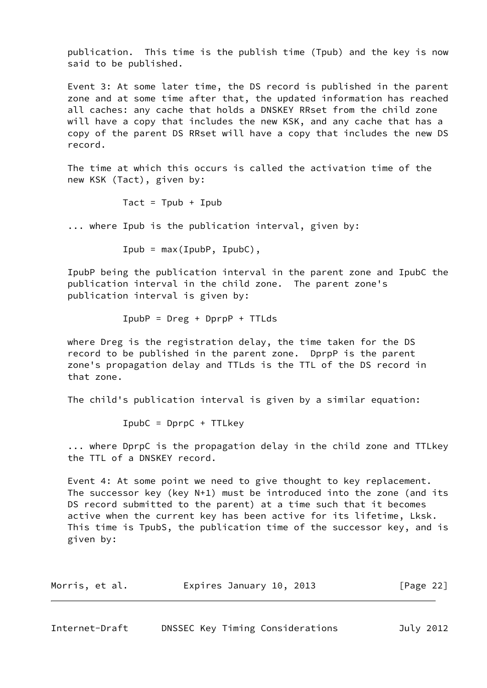publication. This time is the publish time (Tpub) and the key is now said to be published.

 Event 3: At some later time, the DS record is published in the parent zone and at some time after that, the updated information has reached all caches: any cache that holds a DNSKEY RRset from the child zone will have a copy that includes the new KSK, and any cache that has a copy of the parent DS RRset will have a copy that includes the new DS record.

 The time at which this occurs is called the activation time of the new KSK (Tact), given by:

Tact =  $Tpub + Tpub$ 

... where Ipub is the publication interval, given by:

 $Ipub = max(IpubP, IpubC)$ ,

 IpubP being the publication interval in the parent zone and IpubC the publication interval in the child zone. The parent zone's publication interval is given by:

IpubP = Dreg + DprpP + TTLds

 where Dreg is the registration delay, the time taken for the DS record to be published in the parent zone. DprpP is the parent zone's propagation delay and TTLds is the TTL of the DS record in that zone.

The child's publication interval is given by a similar equation:

IpubC = DprpC + TTLkey

 ... where DprpC is the propagation delay in the child zone and TTLkey the TTL of a DNSKEY record.

 Event 4: At some point we need to give thought to key replacement. The successor key (key N+1) must be introduced into the zone (and its DS record submitted to the parent) at a time such that it becomes active when the current key has been active for its lifetime, Lksk. This time is TpubS, the publication time of the successor key, and is given by:

| Morris, et al. | Expires January 10, 2013 | [Page 22] |
|----------------|--------------------------|-----------|
|----------------|--------------------------|-----------|

<span id="page-24-0"></span>

| Internet-Draft |  |  | DNSSEC Key Timing Considerations | July 2012 |
|----------------|--|--|----------------------------------|-----------|
|----------------|--|--|----------------------------------|-----------|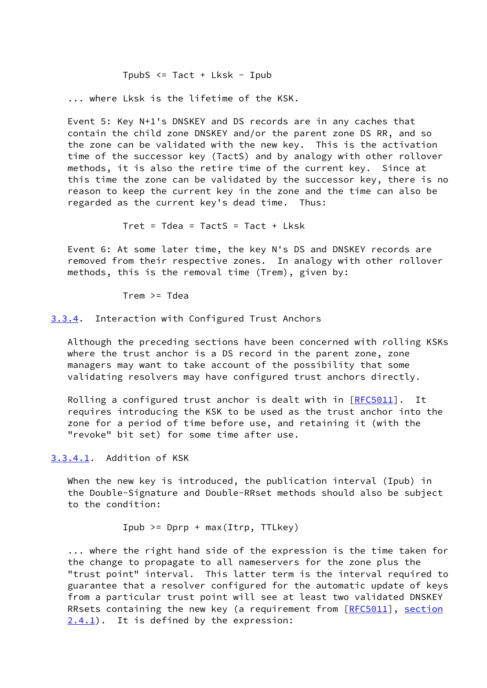TpubS  $\le$  Tact + Lksk - Ipub

... where Lksk is the lifetime of the KSK.

 Event 5: Key N+1's DNSKEY and DS records are in any caches that contain the child zone DNSKEY and/or the parent zone DS RR, and so the zone can be validated with the new key. This is the activation time of the successor key (TactS) and by analogy with other rollover methods, it is also the retire time of the current key. Since at this time the zone can be validated by the successor key, there is no reason to keep the current key in the zone and the time can also be regarded as the current key's dead time. Thus:

Tret =  $T$ dea =  $T$ actS =  $T$ act + L $k$ sk

 Event 6: At some later time, the key N's DS and DNSKEY records are removed from their respective zones. In analogy with other rollover methods, this is the removal time (Trem), given by:

Trem >= Tdea

#### <span id="page-25-0"></span>[3.3.4](#page-25-0). Interaction with Configured Trust Anchors

 Although the preceding sections have been concerned with rolling KSKs where the trust anchor is a DS record in the parent zone, zone managers may want to take account of the possibility that some validating resolvers may have configured trust anchors directly.

Rolling a configured trust anchor is dealt with in [[RFC5011\]](https://datatracker.ietf.org/doc/pdf/rfc5011). It requires introducing the KSK to be used as the trust anchor into the zone for a period of time before use, and retaining it (with the "revoke" bit set) for some time after use.

<span id="page-25-1"></span>[3.3.4.1](#page-25-1). Addition of KSK

 When the new key is introduced, the publication interval (Ipub) in the Double-Signature and Double-RRset methods should also be subject to the condition:

Ipub  $>=$  Dprp + max(Itrp, TTLkey)

 ... where the right hand side of the expression is the time taken for the change to propagate to all nameservers for the zone plus the "trust point" interval. This latter term is the interval required to guarantee that a resolver configured for the automatic update of keys from a particular trust point will see at least two validated DNSKEY RRsets containing the new key (a requirement from [[RFC5011](https://datatracker.ietf.org/doc/pdf/rfc5011)], section  $(2.4.1)$ . It is defined by the expression: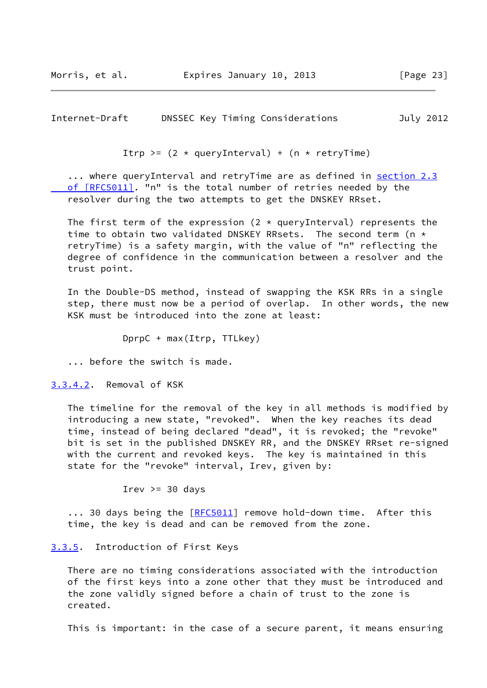<span id="page-26-1"></span>Internet-Draft DNSSEC Key Timing Considerations July 2012

Itrp >=  $(2 \times$  queryInterval) +  $(n \times$  retryTime)

 ... where queryInterval and retryTime are as defined in [section](https://datatracker.ietf.org/doc/pdf/rfc5011#section-2.3) 2.3 of [RFC5011]. "n" is the total number of retries needed by the resolver during the two attempts to get the DNSKEY RRset.

The first term of the expression (2  $*$  queryInterval) represents the time to obtain two validated DNSKEY RRsets. The second term (n \* retryTime) is a safety margin, with the value of "n" reflecting the degree of confidence in the communication between a resolver and the trust point.

 In the Double-DS method, instead of swapping the KSK RRs in a single step, there must now be a period of overlap. In other words, the new KSK must be introduced into the zone at least:

DprpC + max(Itrp, TTLkey)

... before the switch is made.

<span id="page-26-2"></span>[3.3.4.2](#page-26-2). Removal of KSK

 The timeline for the removal of the key in all methods is modified by introducing a new state, "revoked". When the key reaches its dead time, instead of being declared "dead", it is revoked; the "revoke" bit is set in the published DNSKEY RR, and the DNSKEY RRset re-signed with the current and revoked keys. The key is maintained in this state for the "revoke" interval, Irev, given by:

Irev  $>=$  30 days

... 30 days being the [[RFC5011](https://datatracker.ietf.org/doc/pdf/rfc5011)] remove hold-down time. After this time, the key is dead and can be removed from the zone.

#### <span id="page-26-0"></span>[3.3.5](#page-26-0). Introduction of First Keys

 There are no timing considerations associated with the introduction of the first keys into a zone other that they must be introduced and the zone validly signed before a chain of trust to the zone is created.

This is important: in the case of a secure parent, it means ensuring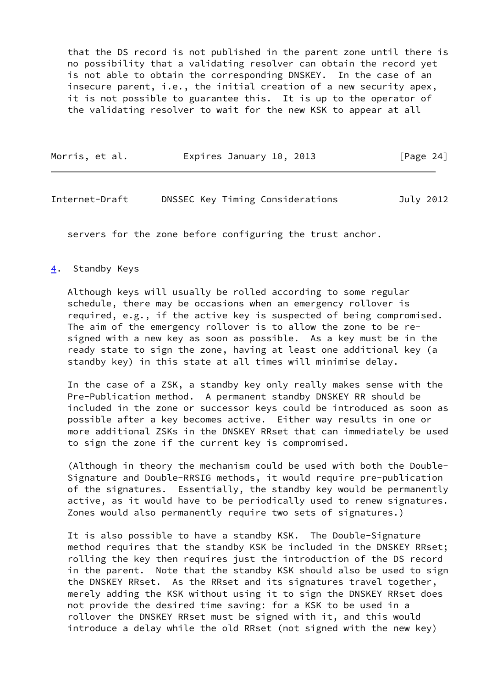that the DS record is not published in the parent zone until there is no possibility that a validating resolver can obtain the record yet is not able to obtain the corresponding DNSKEY. In the case of an insecure parent, i.e., the initial creation of a new security apex, it is not possible to guarantee this. It is up to the operator of the validating resolver to wait for the new KSK to appear at all

| Morris, et al. | Expires January 10, 2013 |  | [Page 24] |
|----------------|--------------------------|--|-----------|
|----------------|--------------------------|--|-----------|

#### <span id="page-27-1"></span>Internet-Draft DNSSEC Key Timing Considerations July 2012

servers for the zone before configuring the trust anchor.

#### <span id="page-27-0"></span>[4](#page-27-0). Standby Keys

 Although keys will usually be rolled according to some regular schedule, there may be occasions when an emergency rollover is required, e.g., if the active key is suspected of being compromised. The aim of the emergency rollover is to allow the zone to be re signed with a new key as soon as possible. As a key must be in the ready state to sign the zone, having at least one additional key (a standby key) in this state at all times will minimise delay.

 In the case of a ZSK, a standby key only really makes sense with the Pre-Publication method. A permanent standby DNSKEY RR should be included in the zone or successor keys could be introduced as soon as possible after a key becomes active. Either way results in one or more additional ZSKs in the DNSKEY RRset that can immediately be used to sign the zone if the current key is compromised.

 (Although in theory the mechanism could be used with both the Double- Signature and Double-RRSIG methods, it would require pre-publication of the signatures. Essentially, the standby key would be permanently active, as it would have to be periodically used to renew signatures. Zones would also permanently require two sets of signatures.)

 It is also possible to have a standby KSK. The Double-Signature method requires that the standby KSK be included in the DNSKEY RRset; rolling the key then requires just the introduction of the DS record in the parent. Note that the standby KSK should also be used to sign the DNSKEY RRset. As the RRset and its signatures travel together, merely adding the KSK without using it to sign the DNSKEY RRset does not provide the desired time saving: for a KSK to be used in a rollover the DNSKEY RRset must be signed with it, and this would introduce a delay while the old RRset (not signed with the new key)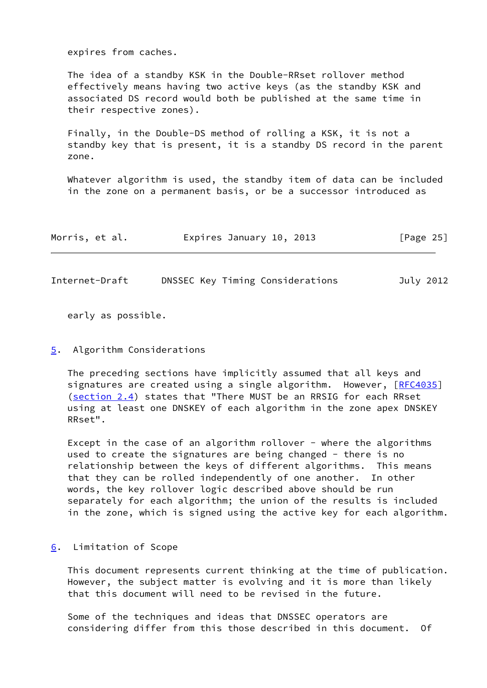expires from caches.

 The idea of a standby KSK in the Double-RRset rollover method effectively means having two active keys (as the standby KSK and associated DS record would both be published at the same time in their respective zones).

 Finally, in the Double-DS method of rolling a KSK, it is not a standby key that is present, it is a standby DS record in the parent zone.

 Whatever algorithm is used, the standby item of data can be included in the zone on a permanent basis, or be a successor introduced as

| Morris, et al. | Expires January 10, 2013 | [Page 25] |
|----------------|--------------------------|-----------|
|                |                          |           |

<span id="page-28-1"></span>Internet-Draft DNSSEC Key Timing Considerations July 2012

early as possible.

#### <span id="page-28-0"></span>[5](#page-28-0). Algorithm Considerations

 The preceding sections have implicitly assumed that all keys and signatures are created using a single algorithm. However, [[RFC4035\]](https://datatracker.ietf.org/doc/pdf/rfc4035) (section 2.4) states that "There MUST be an RRSIG for each RRset using at least one DNSKEY of each algorithm in the zone apex DNSKEY RRset".

Except in the case of an algorithm rollover - where the algorithms used to create the signatures are being changed - there is no relationship between the keys of different algorithms. This means that they can be rolled independently of one another. In other words, the key rollover logic described above should be run separately for each algorithm; the union of the results is included in the zone, which is signed using the active key for each algorithm.

#### <span id="page-28-2"></span>[6](#page-28-2). Limitation of Scope

 This document represents current thinking at the time of publication. However, the subject matter is evolving and it is more than likely that this document will need to be revised in the future.

 Some of the techniques and ideas that DNSSEC operators are considering differ from this those described in this document. Of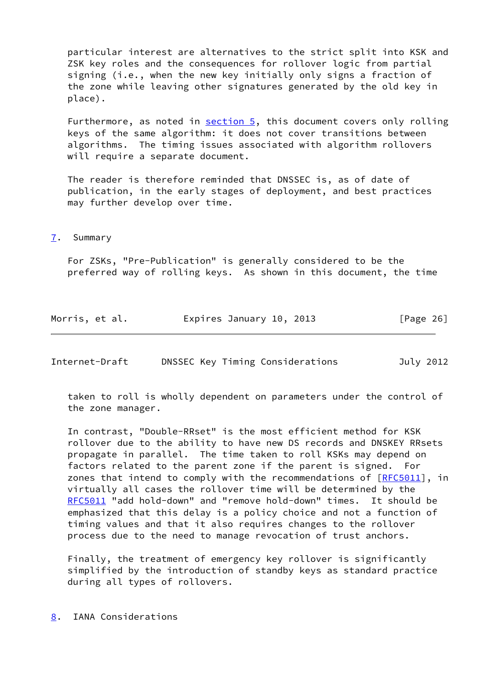particular interest are alternatives to the strict split into KSK and ZSK key roles and the consequences for rollover logic from partial signing (i.e., when the new key initially only signs a fraction of the zone while leaving other signatures generated by the old key in place).

Furthermore, as noted in [section 5](#page-28-0), this document covers only rolling keys of the same algorithm: it does not cover transitions between algorithms. The timing issues associated with algorithm rollovers will require a separate document.

 The reader is therefore reminded that DNSSEC is, as of date of publication, in the early stages of deployment, and best practices may further develop over time.

#### <span id="page-29-0"></span>[7](#page-29-0). Summary

 For ZSKs, "Pre-Publication" is generally considered to be the preferred way of rolling keys. As shown in this document, the time

| Morris, et al. | Expires January 10, 2013 | [Page 26] |
|----------------|--------------------------|-----------|
|----------------|--------------------------|-----------|

<span id="page-29-2"></span>

| Internet-Draft |  | DNSSEC Key Timing Considerations | July 2012 |
|----------------|--|----------------------------------|-----------|
|----------------|--|----------------------------------|-----------|

 taken to roll is wholly dependent on parameters under the control of the zone manager.

 In contrast, "Double-RRset" is the most efficient method for KSK rollover due to the ability to have new DS records and DNSKEY RRsets propagate in parallel. The time taken to roll KSKs may depend on factors related to the parent zone if the parent is signed. For zones that intend to comply with the recommendations of [\[RFC5011](https://datatracker.ietf.org/doc/pdf/rfc5011)], in virtually all cases the rollover time will be determined by the [RFC5011](https://datatracker.ietf.org/doc/pdf/rfc5011) "add hold-down" and "remove hold-down" times. It should be emphasized that this delay is a policy choice and not a function of timing values and that it also requires changes to the rollover process due to the need to manage revocation of trust anchors.

 Finally, the treatment of emergency key rollover is significantly simplified by the introduction of standby keys as standard practice during all types of rollovers.

<span id="page-29-1"></span>[8](#page-29-1). IANA Considerations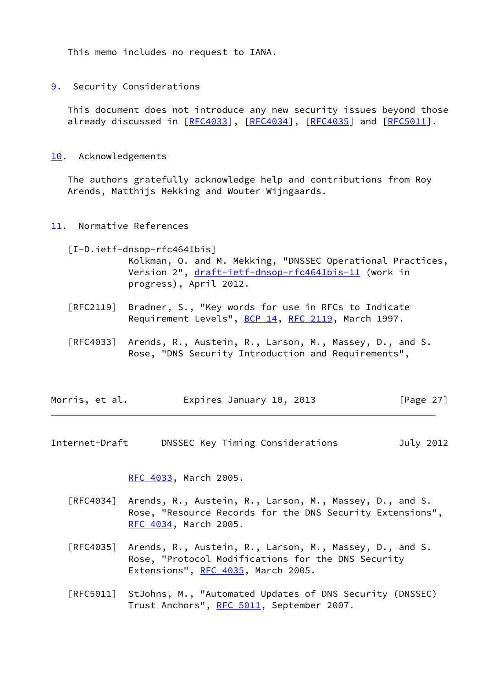This memo includes no request to IANA.

<span id="page-30-0"></span>[9](#page-30-0). Security Considerations

 This document does not introduce any new security issues beyond those already discussed in [\[RFC4033](https://datatracker.ietf.org/doc/pdf/rfc4033)], [\[RFC4034](https://datatracker.ietf.org/doc/pdf/rfc4034)], [[RFC4035\]](https://datatracker.ietf.org/doc/pdf/rfc4035) and [\[RFC5011](https://datatracker.ietf.org/doc/pdf/rfc5011)].

<span id="page-30-1"></span>[10.](#page-30-1) Acknowledgements

 The authors gratefully acknowledge help and contributions from Roy Arends, Matthijs Mekking and Wouter Wijngaards.

<span id="page-30-2"></span>[11.](#page-30-2) Normative References

<span id="page-30-4"></span> [I-D.ietf-dnsop-rfc4641bis] Kolkman, O. and M. Mekking, "DNSSEC Operational Practices, Version 2", [draft-ietf-dnsop-rfc4641bis-11](https://datatracker.ietf.org/doc/pdf/draft-ietf-dnsop-rfc4641bis-11) (work in progress), April 2012.

- [RFC2119] Bradner, S., "Key words for use in RFCs to Indicate Requirement Levels", [BCP 14](https://datatracker.ietf.org/doc/pdf/bcp14), [RFC 2119](https://datatracker.ietf.org/doc/pdf/rfc2119), March 1997.
- [RFC4033] Arends, R., Austein, R., Larson, M., Massey, D., and S. Rose, "DNS Security Introduction and Requirements",

| Morris, et al. | Expires January 10, 2013 | [Page 27] |
|----------------|--------------------------|-----------|
|----------------|--------------------------|-----------|

<span id="page-30-3"></span>Internet-Draft DNSSEC Key Timing Considerations July 2012

[RFC 4033,](https://datatracker.ietf.org/doc/pdf/rfc4033) March 2005.

- [RFC4034] Arends, R., Austein, R., Larson, M., Massey, D., and S. Rose, "Resource Records for the DNS Security Extensions", [RFC 4034,](https://datatracker.ietf.org/doc/pdf/rfc4034) March 2005.
- [RFC4035] Arends, R., Austein, R., Larson, M., Massey, D., and S. Rose, "Protocol Modifications for the DNS Security Extensions", [RFC 4035](https://datatracker.ietf.org/doc/pdf/rfc4035), March 2005.
- [RFC5011] StJohns, M., "Automated Updates of DNS Security (DNSSEC) Trust Anchors", [RFC 5011,](https://datatracker.ietf.org/doc/pdf/rfc5011) September 2007.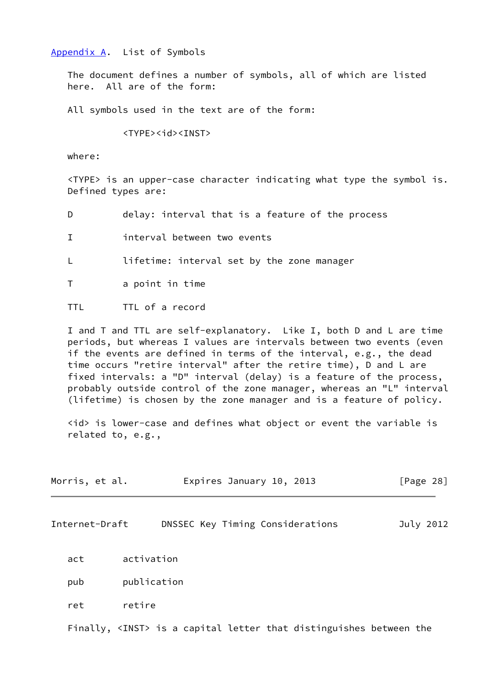#### <span id="page-31-0"></span>[Appendix A.](#page-31-0) List of Symbols

 The document defines a number of symbols, all of which are listed here. All are of the form:

All symbols used in the text are of the form:

<TYPE><id><INST>

where:

 <TYPE> is an upper-case character indicating what type the symbol is. Defined types are:

- D delay: interval that is a feature of the process
- I interval between two events

L lifetime: interval set by the zone manager

T a point in time

TTL TTL of a record

 I and T and TTL are self-explanatory. Like I, both D and L are time periods, but whereas I values are intervals between two events (even if the events are defined in terms of the interval, e.g., the dead time occurs "retire interval" after the retire time), D and L are fixed intervals: a "D" interval (delay) is a feature of the process, probably outside control of the zone manager, whereas an "L" interval (lifetime) is chosen by the zone manager and is a feature of policy.

 <id> is lower-case and defines what object or event the variable is related to, e.g.,

| Morris, et al. | Expires January 10, 2013 | [Page 28] |
|----------------|--------------------------|-----------|
|                |                          |           |
|                |                          |           |

Internet-Draft DNSSEC Key Timing Considerations July 2012

act activation

pub publication

ret retire

Finally, <INST> is a capital letter that distinguishes between the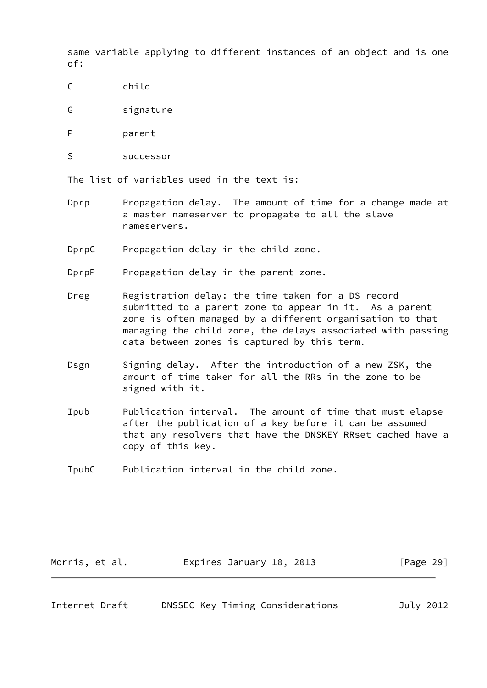same variable applying to different instances of an object and is one of:

- C child
- G signature
- P parent
- S successor

The list of variables used in the text is:

- Dprp Propagation delay. The amount of time for a change made at a master nameserver to propagate to all the slave nameservers.
- DprpC Propagation delay in the child zone.

DprpP Propagation delay in the parent zone.

- Dreg Registration delay: the time taken for a DS record submitted to a parent zone to appear in it. As a parent zone is often managed by a different organisation to that managing the child zone, the delays associated with passing data between zones is captured by this term.
- Dsgn Signing delay. After the introduction of a new ZSK, the amount of time taken for all the RRs in the zone to be signed with it.
- Ipub Publication interval. The amount of time that must elapse after the publication of a key before it can be assumed that any resolvers that have the DNSKEY RRset cached have a copy of this key.
- IpubC Publication interval in the child zone.

| Morris, et al. | Expires January 10, 2013 | [Page 29] |
|----------------|--------------------------|-----------|
|----------------|--------------------------|-----------|

| Internet-Draft |  |  | DNSSEC Key Timing Considerations | July 2012 |
|----------------|--|--|----------------------------------|-----------|
|----------------|--|--|----------------------------------|-----------|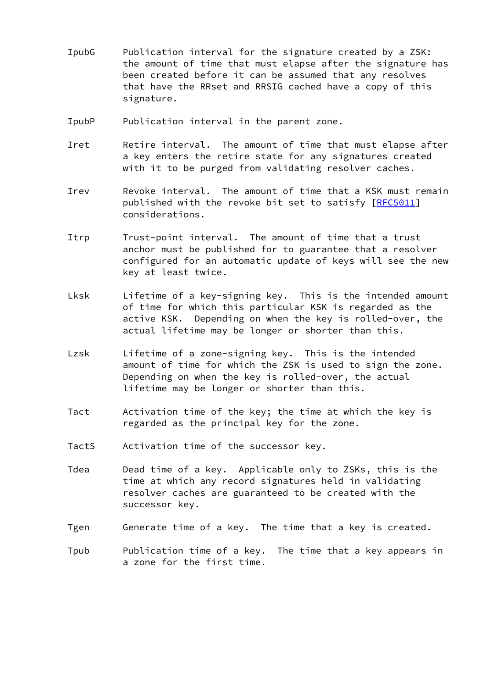- IpubG Publication interval for the signature created by a ZSK: the amount of time that must elapse after the signature has been created before it can be assumed that any resolves that have the RRset and RRSIG cached have a copy of this signature.
- IpubP Publication interval in the parent zone.
- Iret Betire interval. The amount of time that must elapse after a key enters the retire state for any signatures created with it to be purged from validating resolver caches.
- Irev Revoke interval. The amount of time that a KSK must remain published with the revoke bit set to satisfy [\[RFC5011](https://datatracker.ietf.org/doc/pdf/rfc5011)] considerations.
- Itrp Trust-point interval. The amount of time that a trust anchor must be published for to guarantee that a resolver configured for an automatic update of keys will see the new key at least twice.
- Lksk Lifetime of a key-signing key. This is the intended amount of time for which this particular KSK is regarded as the active KSK. Depending on when the key is rolled-over, the actual lifetime may be longer or shorter than this.
- Lzsk Lifetime of a zone-signing key. This is the intended amount of time for which the ZSK is used to sign the zone. Depending on when the key is rolled-over, the actual lifetime may be longer or shorter than this.
- Tact Activation time of the key; the time at which the key is regarded as the principal key for the zone.
- TactS Activation time of the successor key.
- Tdea Dead time of a key. Applicable only to ZSKs, this is the time at which any record signatures held in validating resolver caches are guaranteed to be created with the successor key.
- Tgen Generate time of a key. The time that a key is created.
- Tpub Publication time of a key. The time that a key appears in a zone for the first time.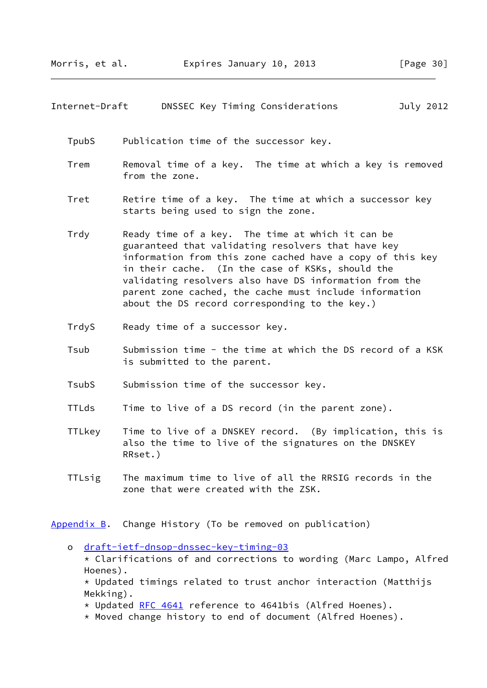#### <span id="page-34-1"></span>Internet-Draft DNSSEC Key Timing Considerations July 2012

TpubS Publication time of the successor key.

- Trem Removal time of a key. The time at which a key is removed from the zone.
- Tret Betire time of a key. The time at which a successor key starts being used to sign the zone.
- Trdy Ready time of a key. The time at which it can be guaranteed that validating resolvers that have key information from this zone cached have a copy of this key in their cache. (In the case of KSKs, should the validating resolvers also have DS information from the parent zone cached, the cache must include information about the DS record corresponding to the key.)
- TrdyS Ready time of a successor key.
- Tsub Submission time the time at which the DS record of a KSK is submitted to the parent.
- TsubS Submission time of the successor key.
- TTLds Time to live of a DS record (in the parent zone).
- TTLkey Time to live of a DNSKEY record. (By implication, this is also the time to live of the signatures on the DNSKEY RRset.)
- TTLsig The maximum time to live of all the RRSIG records in the zone that were created with the ZSK.

<span id="page-34-0"></span>[Appendix B.](#page-34-0) Change History (To be removed on publication)

 o [draft-ietf-dnsop-dnssec-key-timing-03](https://datatracker.ietf.org/doc/pdf/draft-ietf-dnsop-dnssec-key-timing-03) \* Clarifications of and corrections to wording (Marc Lampo, Alfred Hoenes).

 $*$  Updated timings related to trust anchor interaction (Matthijs Mekking).

\* Updated [RFC 4641](https://datatracker.ietf.org/doc/pdf/rfc4641) reference to 4641bis (Alfred Hoenes).

\* Moved change history to end of document (Alfred Hoenes).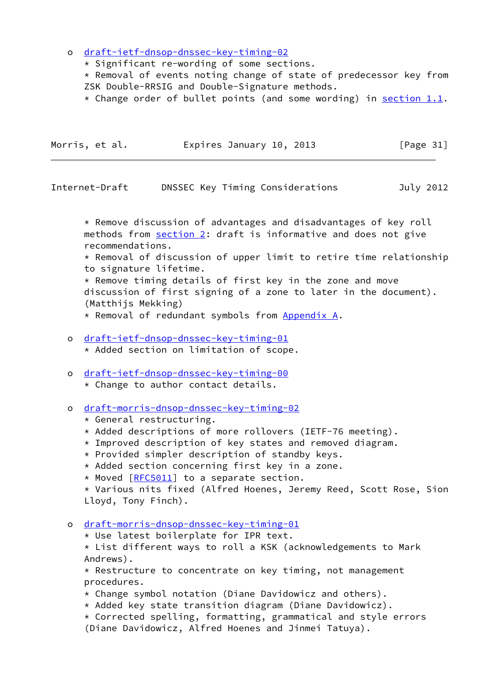o [draft-ietf-dnsop-dnssec-key-timing-02](https://datatracker.ietf.org/doc/pdf/draft-ietf-dnsop-dnssec-key-timing-02)

\* Significant re-wording of some sections.

 $*$  Removal of events noting change of state of predecessor key from ZSK Double-RRSIG and Double-Signature methods.

\* Change order of bullet points (and some wording) in section  $1.1$ .

| Morris, et al. | Expires January 10, 2013 | [Page 31] |
|----------------|--------------------------|-----------|
|                |                          |           |

Internet-Draft DNSSEC Key Timing Considerations July 2012

 \* Remove discussion of advantages and disadvantages of key roll methods from [section 2](#page-4-2): draft is informative and does not give recommendations.

 \* Removal of discussion of upper limit to retire time relationship to signature lifetime.

 \* Remove timing details of first key in the zone and move discussion of first signing of a zone to later in the document). (Matthijs Mekking)

\* Removal of redundant symbols from [Appendix A.](#page-31-0)

o [draft-ietf-dnsop-dnssec-key-timing-01](https://datatracker.ietf.org/doc/pdf/draft-ietf-dnsop-dnssec-key-timing-01)

\* Added section on limitation of scope.

- o [draft-ietf-dnsop-dnssec-key-timing-00](https://datatracker.ietf.org/doc/pdf/draft-ietf-dnsop-dnssec-key-timing-00)
	- \* Change to author contact details.
- o [draft-morris-dnsop-dnssec-key-timing-02](https://datatracker.ietf.org/doc/pdf/draft-morris-dnsop-dnssec-key-timing-02)
	- \* General restructuring.
	- \* Added descriptions of more rollovers (IETF-76 meeting).
	- \* Improved description of key states and removed diagram.
	- \* Provided simpler description of standby keys.
	- \* Added section concerning first key in a zone.
	- \* Moved [[RFC5011\]](https://datatracker.ietf.org/doc/pdf/rfc5011) to a separate section.

 \* Various nits fixed (Alfred Hoenes, Jeremy Reed, Scott Rose, Sion Lloyd, Tony Finch).

- o [draft-morris-dnsop-dnssec-key-timing-01](https://datatracker.ietf.org/doc/pdf/draft-morris-dnsop-dnssec-key-timing-01)
	- \* Use latest boilerplate for IPR text.

 $\star$  List different ways to roll a KSK (acknowledgements to Mark Andrews).

 $*$  Restructure to concentrate on key timing, not management procedures.

- \* Change symbol notation (Diane Davidowicz and others).
- \* Added key state transition diagram (Diane Davidowicz).
- $*$  Corrected spelling, formatting, grammatical and style errors (Diane Davidowicz, Alfred Hoenes and Jinmei Tatuya).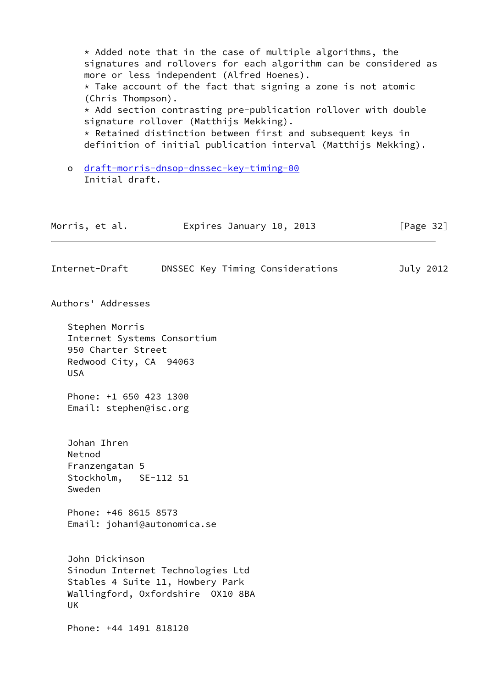<span id="page-36-0"></span> $*$  Added note that in the case of multiple algorithms, the signatures and rollovers for each algorithm can be considered as more or less independent (Alfred Hoenes).  $*$  Take account of the fact that signing a zone is not atomic (Chris Thompson). \* Add section contrasting pre-publication rollover with double signature rollover (Matthijs Mekking). \* Retained distinction between first and subsequent keys in definition of initial publication interval (Matthijs Mekking). o [draft-morris-dnsop-dnssec-key-timing-00](https://datatracker.ietf.org/doc/pdf/draft-morris-dnsop-dnssec-key-timing-00) Initial draft. Morris, et al. **Expires January 10, 2013** [Page 32] Internet-Draft DNSSEC Key Timing Considerations July 2012 Authors' Addresses Stephen Morris Internet Systems Consortium 950 Charter Street Redwood City, CA 94063 USA Phone: +1 650 423 1300 Email: stephen@isc.org Johan Ihren Netnod Franzengatan 5 Stockholm, SE-112 51 Sweden Phone: +46 8615 8573 Email: johani@autonomica.se John Dickinson Sinodun Internet Technologies Ltd Stables 4 Suite 11, Howbery Park Wallingford, Oxfordshire OX10 8BA UK Phone: +44 1491 818120